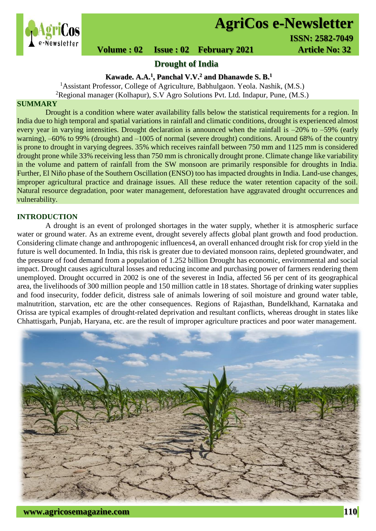

# **AgriCos e-Newsletter**

 **I ISSN: 2582-7049**

 **Volume : 02 Issue : 02 February 2021 Article No: 32** 

# **Drought of India**

**Kawade. A.A.<sup>1</sup> , Panchal V.V. <sup>2</sup> and Dhanawde S. B.<sup>1</sup>**

<sup>1</sup>Assistant Professor, College of Agriculture, Babhulgaon. Yeola. Nashik, (M.S.) <sup>2</sup>Regional manager (Kolhapur), S.V Agro Solutions Pvt. Ltd. Indapur, Pune,  $(M.S.)$ 

# **SUMMARY**

Drought is a condition where water availability falls below the statistical requirements for a region. In India due to high temporal and spatial variations in rainfall and climatic conditions, drought is experienced almost every year in varying intensities. Drought declaration is announced when the rainfall is –20% to –59% (early warning), –60% to 99% (drought) and –1005 of normal (severe drought) conditions. Around 68% of the country is prone to drought in varying degrees. 35% which receives rainfall between 750 mm and 1125 mm is considered drought prone while 33% receiving less than 750 mm is chronically drought prone. Climate change like variability in the volume and pattern of rainfall from the SW monsoon are primarily responsible for droughts in India. Further, El Niño phase of the Southern Oscillation (ENSO) too has impacted droughts in India. Land-use changes, improper agricultural practice and drainage issues. All these reduce the water retention capacity of the soil. Natural resource degradation, poor water management, deforestation have aggravated drought occurrences and vulnerability.

#### **INTRODUCTION**

A drought is an event of prolonged shortages in the water supply, whether it is atmospheric [surface](https://en.wikipedia.org/wiki/Surface_water)  [water](https://en.wikipedia.org/wiki/Surface_water) or [ground water.](https://en.wikipedia.org/wiki/Ground_water) As an extreme event, drought severely affects global plant growth and food production. Considering climate change and anthropogenic influence[s4,](https://www.nature.com/articles/srep44552#ref-CR4) an overall enhanced drought risk for crop yield in the future is well documented. In India, this risk is greater due to deviated monsoon rains, depleted groundwater, and the pressure of food demand from a population of 1.252 billion Drought has economic, environmental and social impact. Drought causes agricultural losses and reducing income and purchasing power of farmers rendering them unemployed. Drought occurred in 2002 is one of the severest in India, affected 56 per cent of its geographical area, the livelihoods of 300 million people and 150 million cattle in 18 states. Shortage of drinking water supplies and food insecurity, fodder deficit, distress sale of animals lowering of soil moisture and ground water table, malnutrition, starvation, etc are the other consequences. Regions of Rajasthan, Bundelkhand, Karnataka and Orissa are typical examples of drought-related deprivation and resultant conflicts, whereas drought in states like Chhattisgarh, Punjab, Haryana, etc. are the result of improper agriculture practices and poor water management.

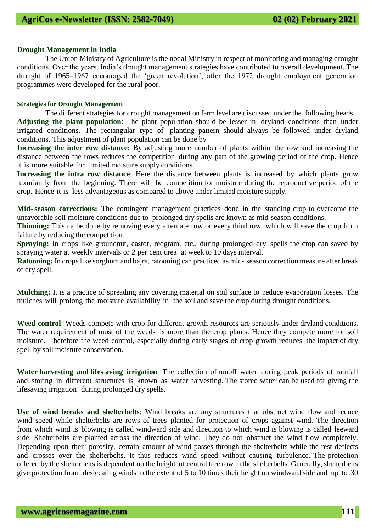#### **Drought Management in India**

The Union Ministry of Agriculture is the nodal Ministry in respect of monitoring and managing drought conditions. Over the years, India's drought management strategies have contributed to overall development. The drought of 1965–1967 encouraged the 'green revolution', after the 1972 drought employment generation programmes were developed for the rural poor.

#### **Strategies for Drought Management**

The different strategies for drought management on farm level are discussed under the following heads. **Adjusting the plant population**: The plant population should be lesser in dryland conditions than under irrigated conditions. The rectangular type of planting pattern should always be followed under dryland conditions. This adjustment of plant population can be done by

**Increasing the inter row distance:** By adjusting more number of plants within the row and increasing the distance between the rows reduces the competition during any part of the growing period of the crop. Hence it is more suitable for limited moisture supply conditions.

**Increasing the intra row distance**: Here the distance between plants is increased by which plants grow luxuriantly from the beginning. There will be competition for moisture during the reproductive period of the crop. Hence it is less advantageous as compared to above under limited moisture supply.

**Mid-season corrections:** The contingent management practices done in the standing crop to overcome the unfavorable soil moisture conditions due to prolonged dry spells are known as mid-season conditions.

**Thinning:** This ca be done by removing every alternate row or every third row which will save the crop from failure by reducing the competition

**Spraying:** In crops like groundnut, castor, redgram, etc., during prolonged dry spells the crop can saved by spraying water at weekly intervals or 2 per cent urea at week to 10 days interval.

**Ratooning:** In crops like sorghum and bajra, ratooning can practiced as mid- season correction measure after break of dry spell.

**Mulching:** It is a practice of spreading any covering material on soil surface to reduce evaporation losses. The mulches will prolong the moisture availability in the soil and save the crop during drought conditions.

**Weed control**: Weeds compete with crop for different growth resources are seriously under dryland conditions. The water requirement of most of the weeds is more than the crop plants. Hence they compete more for soil moisture. Therefore the weed control, especially during early stages of crop growth reduces the impact of dry spell by soil moisture conservation.

**Water harvesting and lifes aving irrigation**: The collection of runoff water during peak periods of rainfall and storing in different structures is known as water harvesting. The stored water can be used for giving the lifesaving irrigation during prolonged dry spells.

**Use of wind breaks and shelterbelts**: Wind breaks are any structures that obstruct wind flow and reduce wind speed while shelterbelts are rows of trees planted for protection of crops against wind. The direction from which wind is blowing is called windward side and direction to which wind is blowing is called leeward side. Shelterbelts are planted across the direction of wind. They do not obstruct the wind flow completely. Depending upon their porosity, certain amount of wind passes through the shelterbelts while the rest deflects and crosses over the shelterbelts. It thus reduces wind speed without causing turbulence. The protection offered by the shelterbelts is dependent on the height of central tree row in the shelterbelts. Generally, shelterbelts give protection from desiccating winds to the extent of 5 to 10 times their height on windward side and up to 30